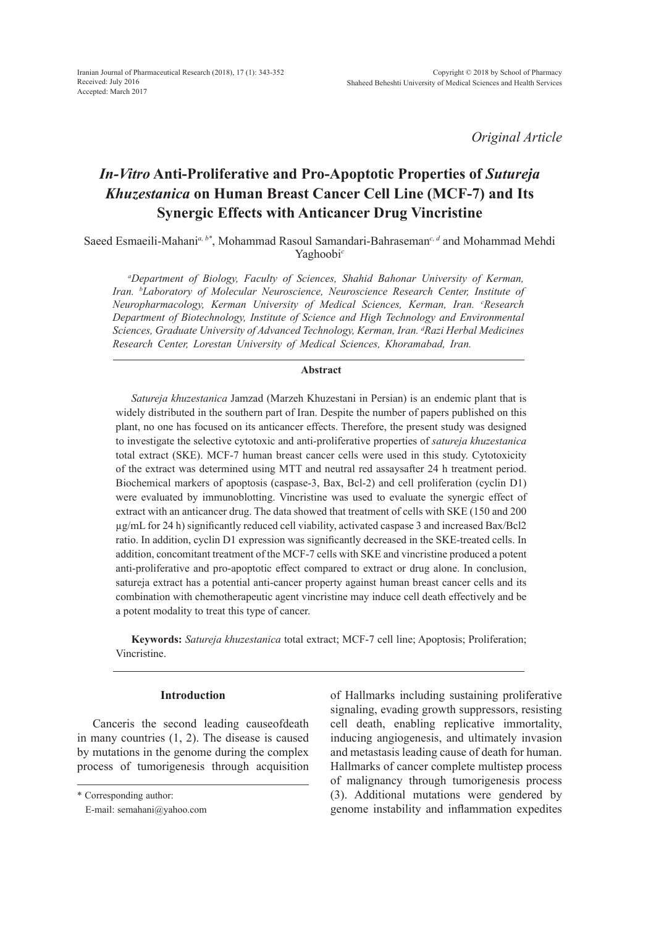*Original Article*

# *In-Vitro* **Anti-Proliferative and Pro-Apoptotic Properties of** *Sutureja Khuzestanica* **on Human Breast Cancer Cell Line (MCF-7) and Its Synergic Effects with Anticancer Drug Vincristine**

Saeed Esmaeili-Mahani*a, b\**, Mohammad Rasoul Samandari-Bahraseman*c, d* and Mohammad Mehdi Yaghoobi*<sup>c</sup>*

*a Department of Biology, Faculty of Sciences, Shahid Bahonar University of Kerman, Iran. b Laboratory of Molecular Neuroscience, Neuroscience Research Center, Institute of Neuropharmacology, Kerman University of Medical Sciences, Kerman, Iran. c Research Department of Biotechnology, Institute of Science and High Technology and Environmental Sciences, Graduate University of Advanced Technology, Kerman, Iran. d Razi Herbal Medicines Research Center, Lorestan University of Medical Sciences, Khoramabad, Iran.*

#### **Abstract**

*Satureja khuzestanica* Jamzad (Marzeh Khuzestani in Persian) is an endemic plant that is widely distributed in the southern part of Iran. Despite the number of papers published on this plant, no one has focused on its anticancer effects. Therefore, the present study was designed to investigate the selective cytotoxic and anti-proliferative properties of *satureja khuzestanica* total extract (SKE). MCF-7 human breast cancer cells were used in this study. Cytotoxicity of the extract was determined using MTT and neutral red assaysafter 24 h treatment period. Biochemical markers of apoptosis (caspase-3, Bax, Bcl-2) and cell proliferation (cyclin D1) were evaluated by immunoblotting. Vincristine was used to evaluate the synergic effect of extract with an anticancer drug. The data showed that treatment of cells with SKE (150 and 200 µg/mL for 24 h) significantly reduced cell viability, activated caspase 3 and increased Bax/Bcl2 ratio. In addition, cyclin D1 expression was significantly decreased in the SKE-treated cells. In addition, concomitant treatment of the MCF-7 cells with SKE and vincristine produced a potent anti-proliferative and pro-apoptotic effect compared to extract or drug alone. In conclusion, satureja extract has a potential anti-cancer property against human breast cancer cells and its combination with chemotherapeutic agent vincristine may induce cell death effectively and be a potent modality to treat this type of cancer.

**Keywords:** *Satureja khuzestanica* total extract; MCF-7 cell line; Apoptosis; Proliferation; Vincristine.

## **Introduction**

Canceris the second leading causeofdeath in many countries (1, 2). The disease is caused by mutations in the genome during the complex process of tumorigenesis through acquisition of Hallmarks including sustaining proliferative signaling, evading growth suppressors, resisting cell death, enabling replicative immortality, inducing angiogenesis, and ultimately invasion and metastasis leading cause of death for human. Hallmarks of cancer complete multistep process of malignancy through tumorigenesis process (3). Additional mutations were gendered by genome instability and inflammation expedites

<sup>\*</sup> Corresponding author:

E-mail: semahani@yahoo.com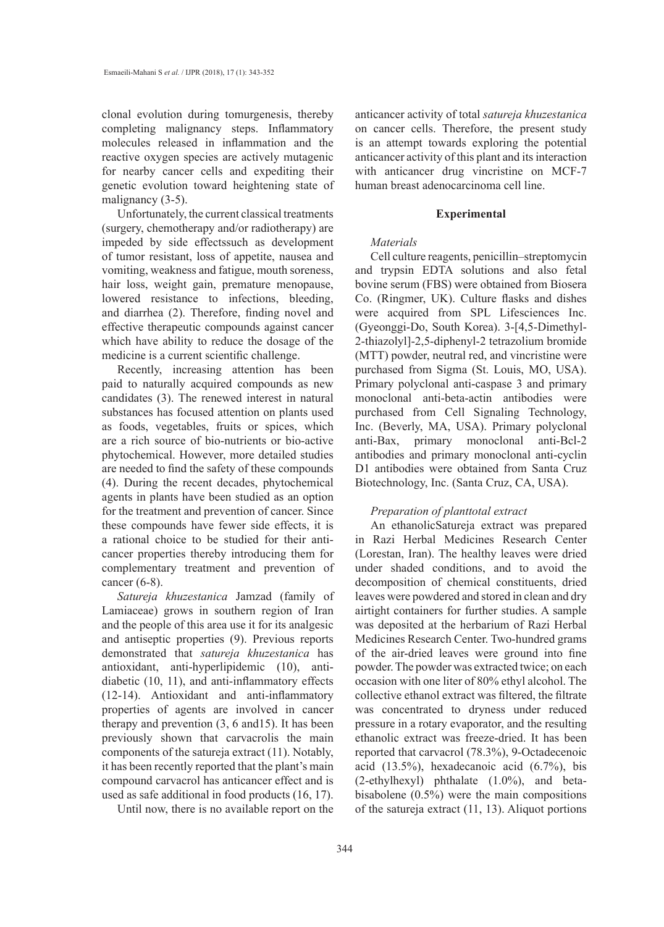clonal evolution during tomurgenesis, thereby completing malignancy steps. Inflammatory molecules released in inflammation and the reactive oxygen species are actively mutagenic for nearby cancer cells and expediting their genetic evolution toward heightening state of malignancy (3-5).

Unfortunately, the current classical treatments (surgery, chemotherapy and/or radiotherapy) are impeded by side effectssuch as development of tumor resistant, loss of appetite, nausea and vomiting, weakness and fatigue, mouth soreness, hair loss, weight gain, premature menopause, lowered resistance to infections, bleeding, and diarrhea (2). Therefore, finding novel and effective therapeutic compounds against cancer which have ability to reduce the dosage of the medicine is a current scientific challenge.

Recently, increasing attention has been paid to naturally acquired compounds as new candidates (3). The renewed interest in natural substances has focused attention on plants used as foods, vegetables, fruits or spices, which are a rich source of bio-nutrients or bio-active phytochemical. However, more detailed studies are needed to find the safety of these compounds (4). During the recent decades, phytochemical agents in plants have been studied as an option for the treatment and prevention of cancer. Since these compounds have fewer side effects, it is a rational choice to be studied for their anticancer properties thereby introducing them for complementary treatment and prevention of cancer (6-8).

*Satureja khuzestanica* Jamzad (family of Lamiaceae) grows in southern region of Iran and the people of this area use it for its analgesic and antiseptic properties (9). Previous reports demonstrated that *satureja khuzestanica* has antioxidant, anti-hyperlipidemic (10), antidiabetic (10, 11), and anti-inflammatory effects (12-14). Antioxidant and anti-inflammatory properties of agents are involved in cancer therapy and prevention (3, 6 and15). It has been previously shown that carvacrolis the main components of the satureja extract (11). Notably, it has been recently reported that the plant's main compound carvacrol has anticancer effect and is used as safe additional in food products (16, 17).

Until now, there is no available report on the

anticancer activity of total *satureja khuzestanica* on cancer cells. Therefore, the present study is an attempt towards exploring the potential anticancer activity of this plant and its interaction with anticancer drug vincristine on MCF-7 human breast adenocarcinoma cell line.

#### **Experimental**

## *Materials*

Cell culture reagents, penicillin–streptomycin and trypsin EDTA solutions and also fetal bovine serum (FBS) were obtained from Biosera Co. (Ringmer, UK). Culture flasks and dishes were acquired from SPL Lifesciences Inc. (Gyeonggi-Do, South Korea). 3-[4,5-Dimethyl-2-thiazolyl]-2,5-diphenyl-2 tetrazolium bromide (MTT) powder, neutral red, and vincristine were purchased from Sigma (St. Louis, MO, USA). Primary polyclonal anti-caspase 3 and primary monoclonal anti-beta-actin antibodies were purchased from Cell Signaling Technology, Inc. (Beverly, MA, USA). Primary polyclonal anti-Bax, primary monoclonal anti-Bcl-2 antibodies and primary monoclonal anti-cyclin D1 antibodies were obtained from Santa Cruz Biotechnology, Inc. (Santa Cruz, CA, USA).

## *Preparation of planttotal extract*

An ethanolicSatureja extract was prepared in Razi Herbal Medicines Research Center (Lorestan, Iran). The healthy leaves were dried under shaded conditions, and to avoid the decomposition of chemical constituents, dried leaves were powdered and stored in clean and dry airtight containers for further studies. A sample was deposited at the herbarium of Razi Herbal Medicines Research Center. Two-hundred grams of the air-dried leaves were ground into fine powder. The powder was extracted twice; on each occasion with one liter of 80% ethyl alcohol. The collective ethanol extract was filtered, the filtrate was concentrated to dryness under reduced pressure in a rotary evaporator, and the resulting ethanolic extract was freeze-dried. It has been reported that carvacrol (78.3%), 9-Octadecenoic acid (13.5%), hexadecanoic acid (6.7%), bis (2-ethylhexyl) phthalate (1.0%), and betabisabolene (0.5%) were the main compositions of the satureja extract (11, 13). Aliquot portions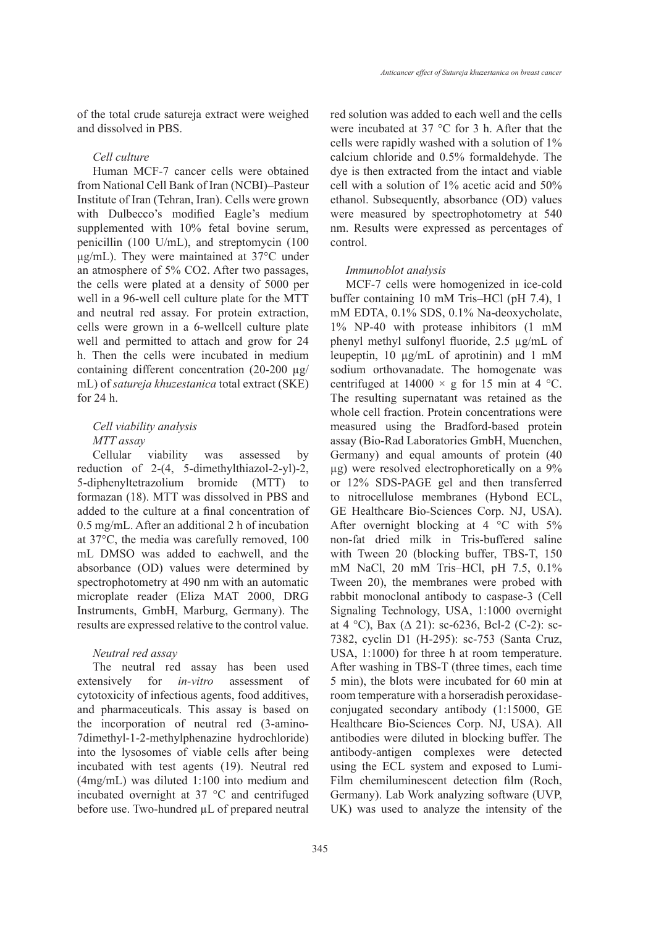of the total crude satureja extract were weighed and dissolved in PBS.

#### *Cell culture*

Human MCF-7 cancer cells were obtained from National Cell Bank of Iran (NCBI)–Pasteur Institute of Iran (Tehran, Iran). Cells were grown with Dulbecco's modified Eagle's medium supplemented with 10% fetal bovine serum, penicillin (100 U/mL), and streptomycin (100 μg/mL). They were maintained at 37°C under an atmosphere of 5% CO2. After two passages, the cells were plated at a density of 5000 per well in a 96-well cell culture plate for the MTT and neutral red assay. For protein extraction, cells were grown in a 6-wellcell culture plate well and permitted to attach and grow for 24 h. Then the cells were incubated in medium containing different concentration (20-200 µg/ mL) of *satureja khuzestanica* total extract (SKE) for 24 h.

## *Cell viability analysis MTT assay*

Cellular viability was assessed by reduction of 2-(4, 5-dimethylthiazol-2-yl)-2, 5-diphenyltetrazolium bromide (MTT) to formazan (18). MTT was dissolved in PBS and added to the culture at a final concentration of 0.5 mg/mL. After an additional 2 h of incubation at 37°C, the media was carefully removed, 100 mL DMSO was added to eachwell, and the absorbance (OD) values were determined by spectrophotometry at 490 nm with an automatic microplate reader (Eliza MAT 2000, DRG Instruments, GmbH, Marburg, Germany). The results are expressed relative to the control value.

## *Neutral red assay*

The neutral red assay has been used extensively for *in-vitro* assessment of cytotoxicity of infectious agents, food additives, and pharmaceuticals. This assay is based on the incorporation of neutral red (3-amino-7dimethyl-1-2-methylphenazine hydrochloride) into the lysosomes of viable cells after being incubated with test agents (19). Neutral red (4mg/mL) was diluted 1:100 into medium and incubated overnight at 37 °C and centrifuged before use. Two-hundred  $\mu$ L of prepared neutral red solution was added to each well and the cells were incubated at 37 °C for 3 h. After that the cells were rapidly washed with a solution of 1% calcium chloride and 0.5% formaldehyde. The dye is then extracted from the intact and viable cell with a solution of 1% acetic acid and 50% ethanol. Subsequently, absorbance (OD) values were measured by spectrophotometry at 540 nm. Results were expressed as percentages of control.

#### *Immunoblot analysis*

MCF-7 cells were homogenized in ice-cold buffer containing 10 mM Tris–HCl (pH 7.4), 1 mM EDTA, 0.1% SDS, 0.1% Na-deoxycholate, 1% NP-40 with protease inhibitors (1 mM phenyl methyl sulfonyl fluoride, 2.5 µg/mL of leupeptin, 10 µg/mL of aprotinin) and 1 mM sodium orthovanadate. The homogenate was centrifuged at  $14000 \times g$  for 15 min at 4 °C. The resulting supernatant was retained as the whole cell fraction. Protein concentrations were measured using the Bradford-based protein assay (Bio-Rad Laboratories GmbH, Muenchen, Germany) and equal amounts of protein (40 µg) were resolved electrophoretically on a 9% or 12% SDS-PAGE gel and then transferred to nitrocellulose membranes (Hybond ECL, GE Healthcare Bio-Sciences Corp. NJ, USA). After overnight blocking at 4  $\degree$ C with 5% non-fat dried milk in Tris-buffered saline with Tween 20 (blocking buffer, TBS-T, 150 mM NaCl, 20 mM Tris–HCl, pH 7.5, 0.1% Tween 20), the membranes were probed with rabbit monoclonal antibody to caspase-3 (Cell Signaling Technology, USA, 1:1000 overnight at 4 °C), Bax ( $\Delta$  21): sc-6236, Bcl-2 (C-2): sc-7382, cyclin D1 (H-295): sc-753 (Santa Cruz, USA, 1:1000) for three h at room temperature. After washing in TBS-T (three times, each time 5 min), the blots were incubated for 60 min at room temperature with a horseradish peroxidaseconjugated secondary antibody (1:15000, GE Healthcare Bio-Sciences Corp. NJ, USA). All antibodies were diluted in blocking buffer. The antibody-antigen complexes were detected using the ECL system and exposed to Lumi-Film chemiluminescent detection film (Roch, Germany). Lab Work analyzing software (UVP, UK) was used to analyze the intensity of the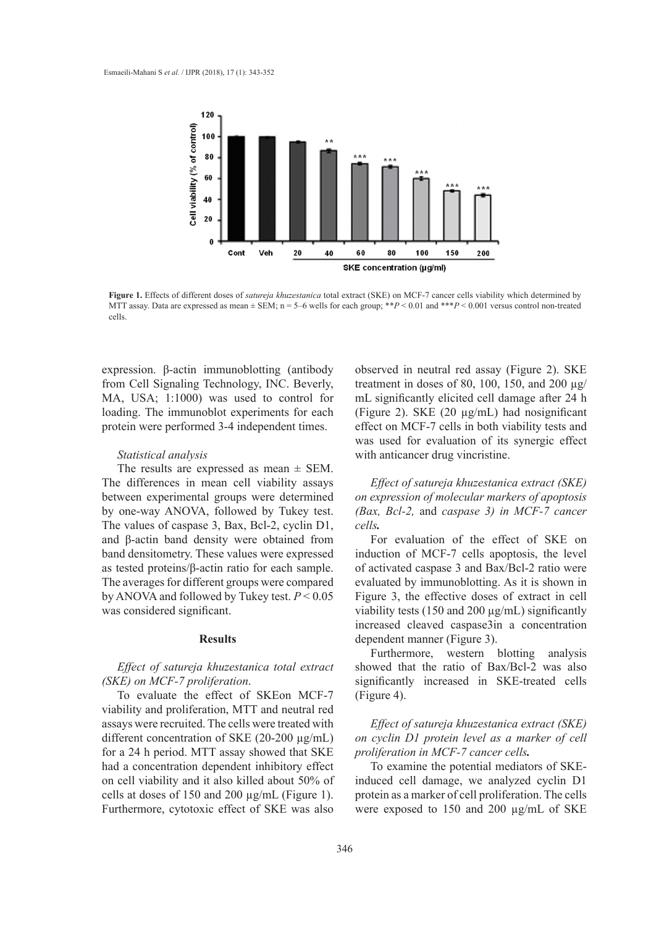

**Figure 1.** Effects of different doses of satureja khuzestanica total extract (SKE) on MCF-7 cancer cells viability which determined by MTT assay. Data are expressed as mean  $\pm$  SEM; n = 5–6 wells for each group; \*\* $P < 0.01$  and \*\*\* $P < 0.001$  versus control non-treated cells.

expression. β-actin immunoblotting (antibody from Cell Signaling Technology, INC. Beverly, MA, USA; 1:1000) was used to control for loading. The immunoblot experiments for each protein were performed 3-4 independent times.

#### *Statistical analysis*

The results are expressed as mean  $\pm$  SEM. The differences in mean cell viability assays between experimental groups were determined by one-way ANOVA, followed by Tukey test. The values of caspase 3, Bax, Bcl-2, cyclin D1, and β-actin band density were obtained from band densitometry. These values were expressed as tested proteins/β-actin ratio for each sample. The averages for different groups were compared by ANOVA and followed by Tukey test. *P* < 0.05 was considered significant.

#### **Results**

## *Effect of satureja khuzestanica total extract (SKE) on MCF-7 proliferation*.

To evaluate the effect of SKEon MCF-7 viability and proliferation, MTT and neutral red assays were recruited. The cells were treated with different concentration of SKE (20-200 µg/mL) for a 24 h period. MTT assay showed that SKE had a concentration dependent inhibitory effect on cell viability and it also killed about 50% of cells at doses of 150 and 200 µg/mL (Figure 1). Furthermore, cytotoxic effect of SKE was also

observed in neutral red assay (Figure 2). SKE treatment in doses of 80, 100, 150, and 200  $\mu$ g/ mL significantly elicited cell damage after 24 h (Figure 2). SKE (20 µg/mL) had nosignificant effect on MCF-7 cells in both viability tests and was used for evaluation of its synergic effect with anticancer drug vincristine.

*Effect of satureja khuzestanica extract (SKE) on expression of molecular markers of apoptosis (Bax, Bcl-2,* and *caspase 3) in MCF-7 cancer cells.*

For evaluation of the effect of SKE on induction of MCF-7 cells apoptosis, the level of activated caspase 3 and Bax/Bcl-2 ratio were evaluated by immunoblotting. As it is shown in Figure 3, the effective doses of extract in cell viability tests (150 and 200 µg/mL) significantly increased cleaved caspase3in a concentration dependent manner (Figure 3).

Furthermore, western blotting analysis showed that the ratio of Bax/Bcl-2 was also significantly increased in SKE-treated cells (Figure 4).

*Effect of satureja khuzestanica extract (SKE) on cyclin D1 protein level as a marker of cell proliferation in MCF-7 cancer cells.*

To examine the potential mediators of SKEinduced cell damage, we analyzed cyclin D1 protein as a marker of cell proliferation. The cells were exposed to 150 and 200 µg/mL of SKE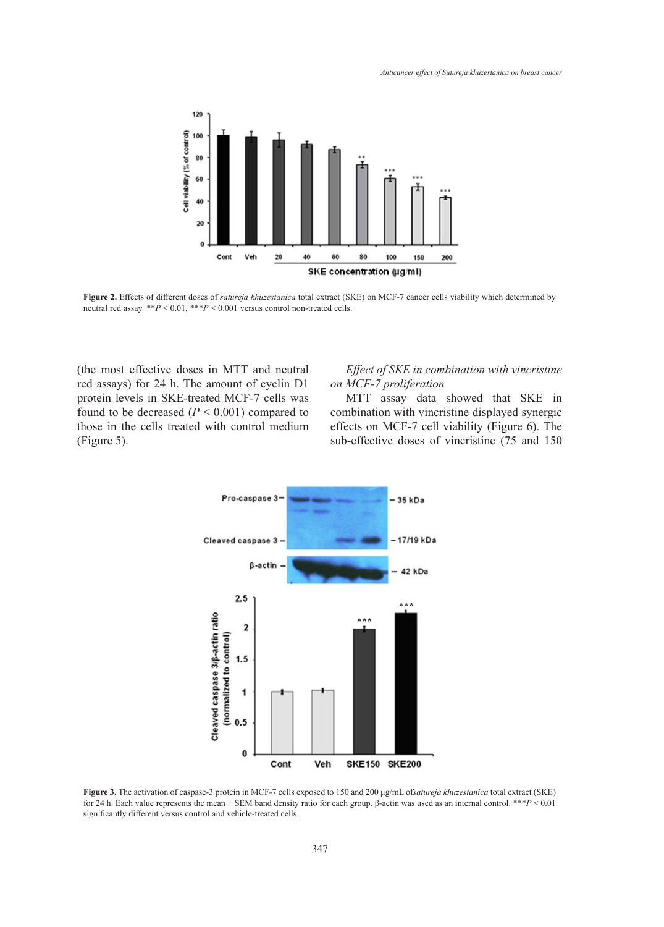

**Figure 2.** Effects of different doses of *satureja khuzestanica* total extract (SKE) on MCF-7 cancer cells viability which determined by neutral red assay. \*\**P* < 0.01, \*\*\**P* < 0.001 versus control non-treated cells.

(the most effective doses in MTT and neutral red assays) for 24 h. The amount of cyclin D1 protein levels in SKE-treated MCF-7 cells was found to be decreased  $(P < 0.001)$  compared to those in the cells treated with control medium (Figure 5).

doses in MTT and neutral *Effect of SKE in combination with vincristine on MCF-7 proliferation*

> MTT assay data showed that SKE in combination with vincristine displayed synergic effects on MCF-7 cell viability (Figure 6). The sub-effective doses of vincristine (75 and 150



**Figure 3.** The activation of caspase-3 protein in MCF-7 cells exposed to 150 and 200 μg/mL of*satureja khuzestanica* total extract (SKE) for 24 h. Each value represents the mean ± SEM band density ratio for each group. β-actin was used as an internal control. \*\*\**P* < 0.01 significantly different versus control and vehicle-treated cells.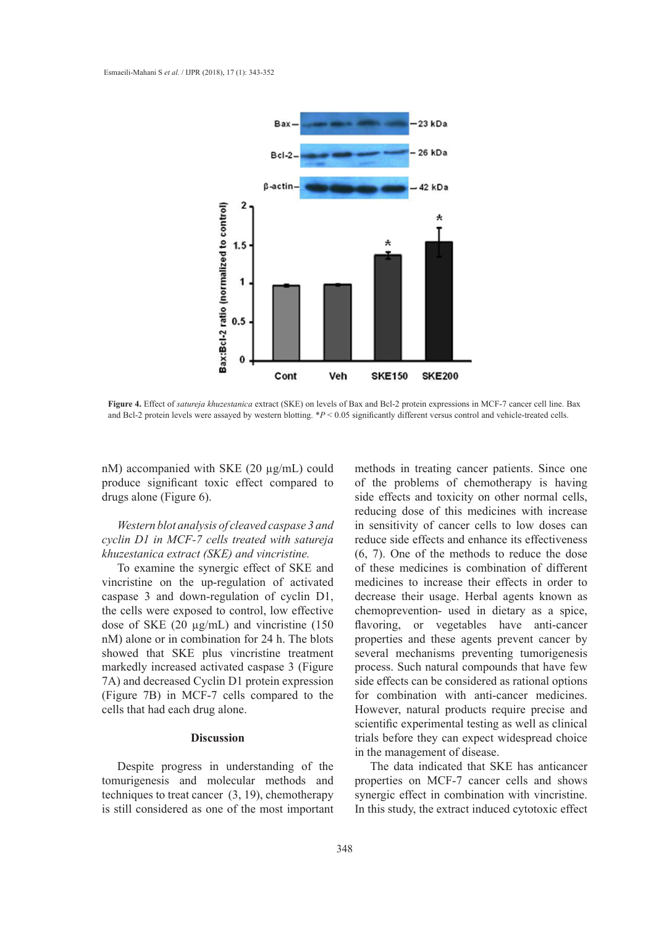

**Figure 4.** Effect of *satureja khuzestanica* extract (SKE) on levels of Bax and Bcl-2 protein expressions in MCF-7 cancer cell line. Bax and Bcl-2 protein levels were assayed by western blotting. \**P* < 0.05 significantly different versus control and vehicle-treated cells.

nM) accompanied with SKE (20 µg/mL) could produce significant toxic effect compared to drugs alone (Figure 6).

*Western blot analysis of cleaved caspase 3 and cyclin D1 in MCF-7 cells treated with satureja khuzestanica extract (SKE) and vincristine.*

To examine the synergic effect of SKE and o vincristine on the up-regulation of activated caspase 3 and down-regulation of cyclin D1, the cells were exposed to control, low effective dose of SKE (20 µg/mL) and vincristine (150 nM) alone or in combination for 24 h. The blots showed that SKE plus vincristine treatment markedly increased activated caspase 3 (Figure 7A) and decreased Cyclin D1 protein expression (Figure 7B) in MCF-7 cells compared to the for combination with anti-can cells that had each drug alone.

## **Discussion**

Despite progress in understanding of the tomurigenesis and molecular methods and techniques to treat cancer (3, 19), chemotherapy is still considered as one of the most important

with SKE  $(20 \mu g/mL)$  could methods in treating cancer patients. Since one of the problems of chemotherapy is having 6). *P* **b** *P P P P P P P P P P P P P P P P P P P P P P P P P P P P P P P P P P P* reducing dose of this medicines with increase in sensitivity of cancer cells to low doses can reduce side effects and enhance its effectiveness  $\ell$  (*SKE*) and vincristine.  $(6, 7)$ . One of the methods to reduce the dose of these medicines is combination of different medicines to increase their effects in order to m-regulation of cyclin D1, decrease their usage. Herbal agents known as chemoprevention- used in dietary as a spice, g/mL) and vincristine (150 flavoring, or vegetables have anti-cancer properties and these agents prevent cancer by plus vincristine treatment several mechanisms preventing tumorigenesis process. Such natural compounds that have few Solid D1 protein expression side effects can be considered as rational options of the decrease of  $\alpha$ . for combination with anti-cancer medicines. However, natural products require precise and scientific experimental testing as well as clinical trials before they can expect widespread choice in the management of disease.

> The data indicated that SKE has anticancer properties on MCF-7 cancer cells and shows synergic effect in combination with vincristine. In this study, the extract induced cytotoxic effect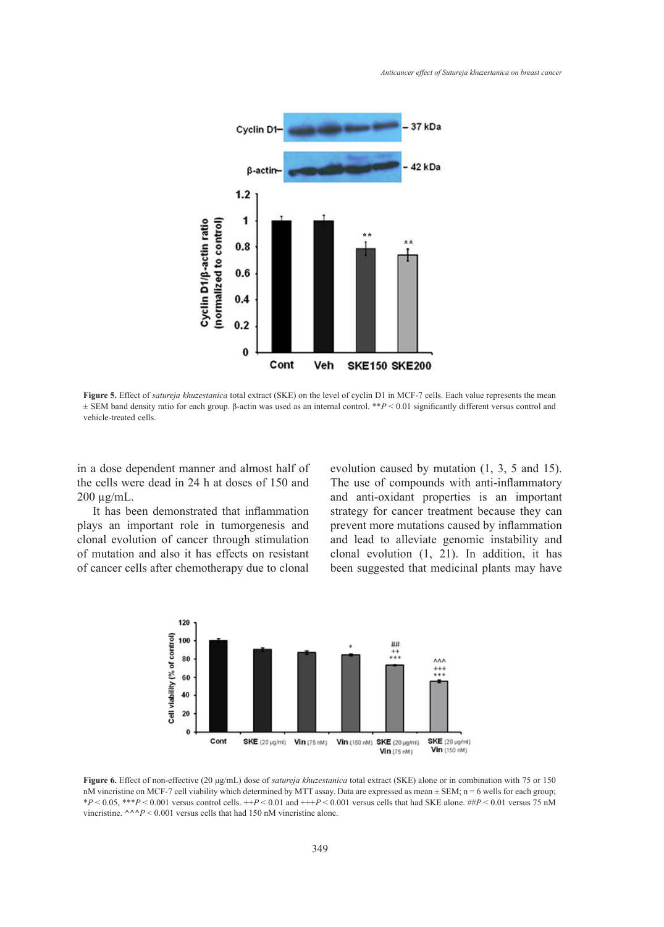

**Figure 5.** Effect of *satureja khuzestanica* total extract (SKE) on the level of cyclin D1 in MCF-7 cells. Each value represents the mean ± SEM band density ratio for each group. β-actin was used as an internal control. \*\**P* < 0.01 significantly different versus control and vehicle-treated cells.

in a dose dependent manner and almost half of the cells were dead in 24 h at doses of 150 and 200 µg/mL.

It has been demonstrated that inflammation plays an important role in tumorgenesis and clonal evolution of cancer through stimulation of mutation and also it has effects on resistant of cancer cells after chemotherapy due to clonal

manner and almost half of evolution caused by mutation  $(1, 3, 5, 5)$  and 15). The use of compounds with anti-inflammatory and anti-oxidant properties is an important strategy for cancer treatment because they can prevent more mutations caused by inflammation and lead to alleviate genomic instability and clonal evolution (1, 21). In addition, it has been suggested that medicinal plants may have



 $*P < 0.05$ ,  $**P < 0.001$  versus control cells.  $++P < 0.01$  and  $++P < 0.001$  versus cells that had SKE alone. ## $P < 0.01$  versus 75 nM **Figure 6.** Effect of non-effective (20 μg/mL) dose of *satureja khuzestanica* total extract (SKE) alone or in combination with 75 or 150 nM vincristine on MCF-7 cell viability which determined by MTT assay. Data are expressed as mean ± SEM; n = 6 wells for each group; vincristine.  $\wedge \wedge P$  < 0.001 versus cells that had 150 nM vincristine alone.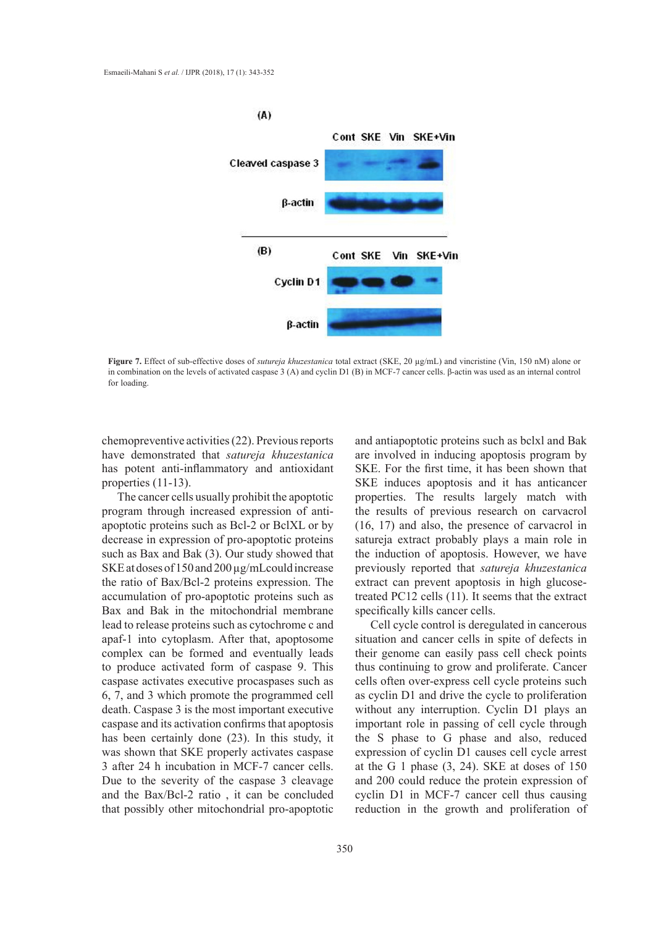

**Figure 7.** Effect of sub-effective doses of *sutureja khuzestanica* total extract (SKE, 20 µg/mL) and vincristine (Vin, 150 nM) alone or in combination on the levels of activated caspase 3 (A) and cyclin D1 (B) in MCF-7 cancer cells. β-actin was used as an internal control<br>for loading for loading.

chemopreventive activities (22). Previous reports have demonstrated that *satureja khuzestanica* has potent anti-inflammatory and antioxidant properties (11-13).

The cancer cells usually prohibit the apoptotic program through increased expression of antiapoptotic proteins such as Bcl-2 or BclXL or by decrease in expression of pro-apoptotic proteins such as Bax and Bak (3). Our study showed that SKE at doses of 150 and 200 µg/mLcould increase the ratio of Bax/Bcl-2 proteins expression. The accumulation of pro-apoptotic proteins such as Bax and Bak in the mitochondrial membrane lead to release proteins such as cytochrome c and apaf-1 into cytoplasm. After that, apoptosome complex can be formed and eventually leads to produce activated form of caspase 9. This caspase activates executive procaspases such as 6, 7, and 3 which promote the programmed cell death. Caspase 3 is the most important executive caspase and its activation confirms that apoptosis has been certainly done (23). In this study, it was shown that SKE properly activates caspase 3 after 24 h incubation in MCF-7 cancer cells. Due to the severity of the caspase 3 cleavage and the Bax/Bcl-2 ratio , it can be concluded that possibly other mitochondrial pro-apoptotic

and antiapoptotic proteins such as bclxl and Bak are involved in inducing apoptosis program by SKE. For the first time, it has been shown that SKE induces apoptosis and it has anticancer properties. The results largely match with the results of previous research on carvacrol (16, 17) and also, the presence of carvacrol in  $\frac{1}{2}$  of Berth of  $\frac{1}{2}$  (10, 17) and also, the presence of calcular methods and molecular methods and molecular methods and molecular methods and molecular methods and methods and molecular methods and methods and  $\lambda$ . Our study showed that the induction of apoptosis. However, we have previously reported that *satureja khuzestanica* proteins expression. The extract can prevent apoptosis in high glucosetreated PC12 cells (11). It seems that the extract hitochondrial membrane specifically kills cancer cells.

Cell cycle control is deregulated in cancerous After that, apoptosome situation and cancer cells in spite of defects in their genome can easily pass cell check points  $\lim_{n \to \infty}$  of caspase 9. This thus continuing to grow and proliferate. Cancer cells often over-express cell cycle proteins such of different medicines to the cycle to proliferation of the programmed cell as cyclin D1 and drive the cycle to proliferation nost important executive without any interruption. Cyclin D1 plays an important role in passing of cell cycle through e  $(23)$ . In this study, it the S phase to G phase and also, reduced expression of cyclin D1 causes cell cycle arrest at the G 1 phase (3, 24). SKE at doses of 150 and 200 could reduce the protein expression of cyclin D1 in MCF-7 cancer cell thus causing reduction in the growth and proliferation of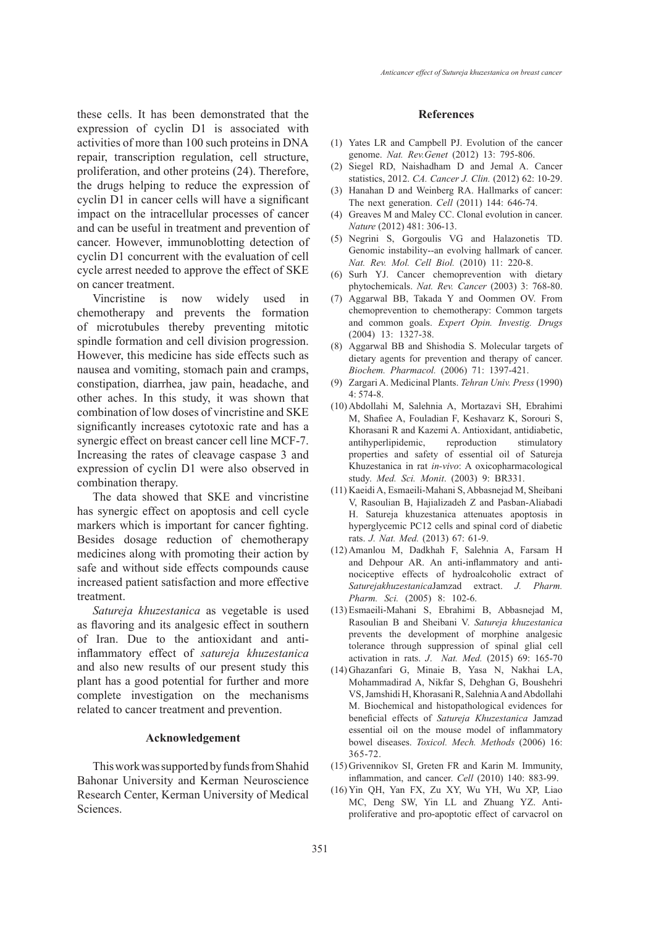these cells. It has been demonstrated that the expression of cyclin D1 is associated with activities of more than 100 such proteins in DNA repair, transcription regulation, cell structure, proliferation, and other proteins (24). Therefore, the drugs helping to reduce the expression of cyclin D1 in cancer cells will have a significant impact on the intracellular processes of cancer and can be useful in treatment and prevention of cancer. However, immunoblotting detection of cyclin D1 concurrent with the evaluation of cell cycle arrest needed to approve the effect of SKE on cancer treatment.

Vincristine is now widely used in chemotherapy and prevents the formation of microtubules thereby preventing mitotic spindle formation and cell division progression. However, this medicine has side effects such as nausea and vomiting, stomach pain and cramps, constipation, diarrhea, jaw pain, headache, and other aches. In this study, it was shown that combination of low doses of vincristine and SKE significantly increases cytotoxic rate and has a synergic effect on breast cancer cell line MCF-7. Increasing the rates of cleavage caspase 3 and expression of cyclin D1 were also observed in combination therapy.

The data showed that SKE and vincristine has synergic effect on apoptosis and cell cycle markers which is important for cancer fighting. Besides dosage reduction of chemotherapy medicines along with promoting their action by safe and without side effects compounds cause increased patient satisfaction and more effective treatment.

*Satureja khuzestanica* as vegetable is used as flavoring and its analgesic effect in southern of Iran. Due to the antioxidant and antiinflammatory effect of *satureja khuzestanica* and also new results of our present study this plant has a good potential for further and more complete investigation on the mechanisms related to cancer treatment and prevention.

### **Acknowledgement**

This work was supported by funds from Shahid Bahonar University and Kerman Neuroscience Research Center, Kerman University of Medical Sciences.

#### **References**

- $(1)$  Yates LR and Campbell PJ. Evolution of the cancer genome. *Nat. Rev.Genet* (2012) 13: 795-806.
- (2) Siegel RD, Naishadham D and Jemal A. Cancer statistics, 2012. *CA. Cancer J. Clin.* (2012) 62: 10-29.
- (3) Hanahan D and Weinberg RA. Hallmarks of cancer: The next generation. *Cell* (2011) 144: 646-74.
- (4) Greaves M and Maley CC. Clonal evolution in cancer. *Nature* (2012) 481: 306-13.
- (5) Negrini S, Gorgoulis VG and Halazonetis TD. Genomic instability--an evolving hallmark of cancer. *Nat. Rev. Mol. Cell Biol.* (2010) 11: 220-8.
- (6) Surh YJ. Cancer chemoprevention with dietary phytochemicals. *Nat. Rev. Cancer* (2003) 3: 768-80.
- Aggarwal BB, Takada Y and Oommen OV. From (7) chemoprevention to chemotherapy: Common targets and common goals. *Expert Opin. Investig. Drugs* (2004) 13: 1327-38.
- Aggarwal BB and Shishodia S. Molecular targets of (8) dietary agents for prevention and therapy of cancer. *Biochem. Pharmacol.* (2006) 71: 1397-421.
- Zargari A. Medicinal Plants. *Tehran Univ. Press* (1990) (9) 4: 574-8.
- Abdollahi M, Salehnia A, Mortazavi SH, Ebrahimi (10) M, Shafiee A, Fouladian F, Keshavarz K, Sorouri S, Khorasani R and Kazemi A. Antioxidant, antidiabetic, antihyperlipidemic, reproduction stimulatory properties and safety of essential oil of Satureja Khuzestanica in rat *in-vivo*: A oxicopharmacological study. *Med. Sci. Monit*. (2003) 9: BR331.
- (11) Kaeidi A, Esmaeili-Mahani S, Abbasnejad M, Sheibani V, Rasoulian B, Hajializadeh Z and Pasban-Aliabadi H. Satureja khuzestanica attenuates apoptosis in hyperglycemic PC12 cells and spinal cord of diabetic rats. *J. Nat. Med.* (2013) 67: 61-9.
- (12) Amanlou M, Dadkhah F, Salehnia A, Farsam H and Dehpour AR. An anti-inflammatory and antinociceptive effects of hydroalcoholic extract of *Saturejakhuzestanica*Jamzad extract. *J. Pharm. Pharm. Sci.* (2005) 8: 102-6.
- Esmaeili-Mahani S, Ebrahimi B, Abbasnejad M, (13) Rasoulian B and Sheibani V. *Satureja khuzestanica* prevents the development of morphine analgesic tolerance through suppression of spinal glial cell activation in rats. *J*. *Nat. Med.* (2015) 69: 165-70
- Ghazanfari G, Minaie B, Yasa N, Nakhai LA, (14) Mohammadirad A, Nikfar S, Dehghan G, Boushehri VS, Jamshidi H, Khorasani R, Salehnia A and Abdollahi M. Biochemical and histopathological evidences for beneficial effects of *Satureja Khuzestanica* Jamzad essential oil on the mouse model of inflammatory bowel diseases. *Toxicol. Mech. Methods* (2006) 16: 365-72.
- (15) Grivennikov SI, Greten FR and Karin M. Immunity, inflammation, and cancer. *Cell* (2010) 140: 883-99.
- (16) Yin QH, Yan FX, Zu XY, Wu YH, Wu XP, Liao MC, Deng SW, Yin LL and Zhuang YZ. Antiproliferative and pro-apoptotic effect of carvacrol on